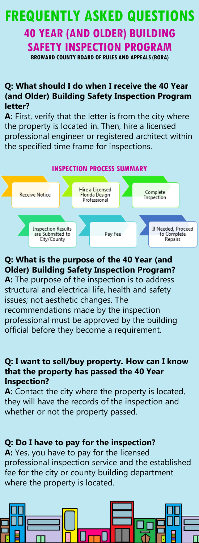# BROWARD COUNTY BOARD OF RULES AND APPEALS (BORA) 40 YEAR (AND OLDER) BUILDING SAFETY INSPECTION PROGRAM FREQUENTLY ASKED QUESTIONS

#### **Q: What should I do when I receive the 40 Year (and Older) Building Safety Inspection Program letter?**

**A:** First, verify that the letter is from the city where the property is located in. Then, hire a licensed professional engineer or registered architect within the specified time frame for inspections.



#### **Q: What is the purpose of the 40 Year (and Older) Building Safety Inspection Program? A:** The purpose of the inspection is to address structural and electrical life, health and safety

issues; not aesthetic changes. The recommendations made by the inspection professional must be approved by the building official before they become a requirement.

#### **Q: I want to sell/buy property. How can I know that the property has passed the 40 Year Inspection?**

**A:** Contact the city where the property is located, they will have the records of the inspection and whether or not the property passed.

# **Q: Do I have to pay for the inspection?**

**A:** Yes, you have to pay for the licensed professional inspection service and the established fee for the city or county building department where the property is located.